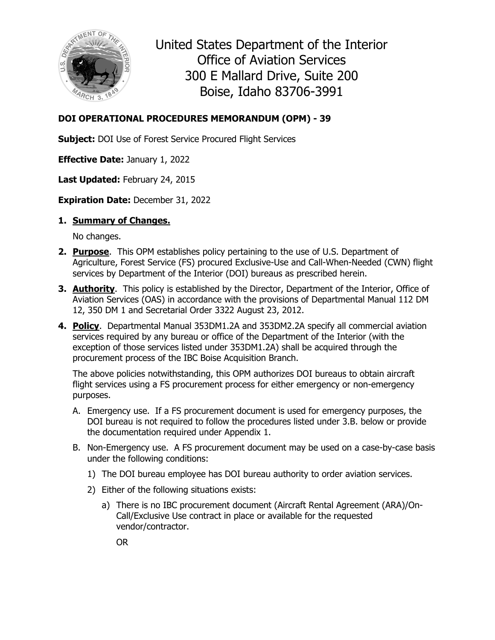

United States Department of the Interior Office of Aviation Services 300 E Mallard Drive, Suite 200 Boise, Idaho 83706-3991

## **DOI OPERATIONAL PROCEDURES MEMORANDUM (OPM) - 39**

**Subject:** DOI Use of Forest Service Procured Flight Services

**Effective Date:** January 1, 2022

**Last Updated:** February 24, 2015

**Expiration Date:** December 31, 2022

### **1. Summary of Changes.**

No changes.

- **2. Purpose**. This OPM establishes policy pertaining to the use of U.S. Department of Agriculture, Forest Service (FS) procured Exclusive-Use and Call-When-Needed (CWN) flight services by Department of the Interior (DOI) bureaus as prescribed herein.
- **3. Authority**. This policy is established by the Director, Department of the Interior, Office of Aviation Services (OAS) in accordance with the provisions of Departmental Manual 112 DM 12, 350 DM 1 and Secretarial Order 3322 August 23, 2012.
- **4. Policy**. Departmental Manual 353DM1.2A and 353DM2.2A specify all commercial aviation services required by any bureau or office of the Department of the Interior (with the exception of those services listed under 353DM1.2A) shall be acquired through the procurement process of the IBC Boise Acquisition Branch.

The above policies notwithstanding, this OPM authorizes DOI bureaus to obtain aircraft flight services using a FS procurement process for either emergency or non-emergency purposes.

- A. Emergency use. If a FS procurement document is used for emergency purposes, the DOI bureau is not required to follow the procedures listed under 3.B. below or provide the documentation required under Appendix 1.
- B. Non-Emergency use. A FS procurement document may be used on a case-by-case basis under the following conditions:
	- 1) The DOI bureau employee has DOI bureau authority to order aviation services.
	- 2) Either of the following situations exists:
		- a) There is no IBC procurement document (Aircraft Rental Agreement (ARA)/On-Call/Exclusive Use contract in place or available for the requested vendor/contractor.

OR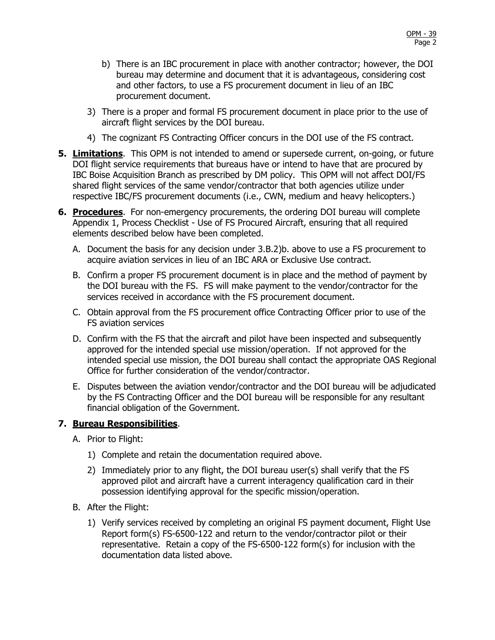- b) There is an IBC procurement in place with another contractor; however, the DOI bureau may determine and document that it is advantageous, considering cost and other factors, to use a FS procurement document in lieu of an IBC procurement document.
- 3) There is a proper and formal FS procurement document in place prior to the use of aircraft flight services by the DOI bureau.
- 4) The cognizant FS Contracting Officer concurs in the DOI use of the FS contract.
- **5. Limitations**. This OPM is not intended to amend or supersede current, on-going, or future DOI flight service requirements that bureaus have or intend to have that are procured by IBC Boise Acquisition Branch as prescribed by DM policy. This OPM will not affect DOI/FS shared flight services of the same vendor/contractor that both agencies utilize under respective IBC/FS procurement documents (i.e., CWN, medium and heavy helicopters.)
- **6. Procedures**.For non-emergency procurements, the ordering DOI bureau will complete Appendix 1, Process Checklist - Use of FS Procured Aircraft, ensuring that all required elements described below have been completed.
	- A. Document the basis for any decision under 3.B.2)b. above to use a FS procurement to acquire aviation services in lieu of an IBC ARA or Exclusive Use contract.
	- B. Confirm a proper FS procurement document is in place and the method of payment by the DOI bureau with the FS. FS will make payment to the vendor/contractor for the services received in accordance with the FS procurement document.
	- C. Obtain approval from the FS procurement office Contracting Officer prior to use of the FS aviation services
	- D. Confirm with the FS that the aircraft and pilot have been inspected and subsequently approved for the intended special use mission/operation. If not approved for the intended special use mission, the DOI bureau shall contact the appropriate OAS Regional Office for further consideration of the vendor/contractor.
	- E. Disputes between the aviation vendor/contractor and the DOI bureau will be adjudicated by the FS Contracting Officer and the DOI bureau will be responsible for any resultant financial obligation of the Government.

### **7. Bureau Responsibilities**.

- A. Prior to Flight:
	- 1) Complete and retain the documentation required above.
	- 2) Immediately prior to any flight, the DOI bureau user(s) shall verify that the FS approved pilot and aircraft have a current interagency qualification card in their possession identifying approval for the specific mission/operation.
- B. After the Flight:
	- 1) Verify services received by completing an original FS payment document, Flight Use Report form(s) FS-6500-122 and return to the vendor/contractor pilot or their representative. Retain a copy of the FS-6500-122 form(s) for inclusion with the documentation data listed above.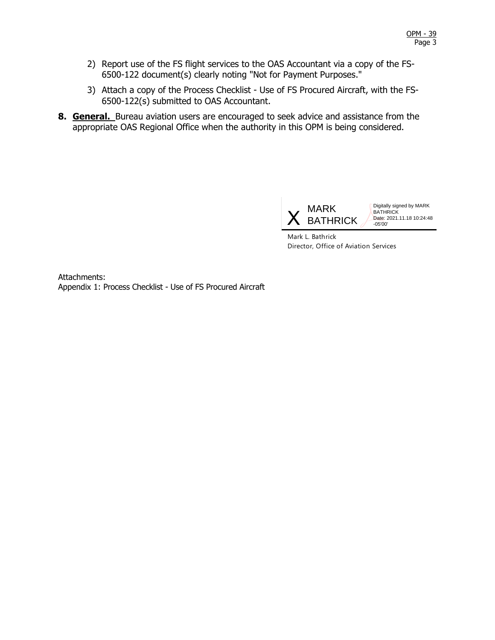- 2) Report use of the FS flight services to the OAS Accountant via a copy of the FS-6500-122 document(s) clearly noting "Not for Payment Purposes."
- 3) Attach a copy of the Process Checklist Use of FS Procured Aircraft, with the FS-6500-122(s) submitted to OAS Accountant.
- **8. General.** Bureau aviation users are encouraged to seek advice and assistance from the appropriate OAS Regional Office when the authority in this OPM is being considered.



Digitally signed by MARK BATHRICK Date: 2021.11.18 10:24:48 -05'00'

Mark L. Bathrick Director, Office of Aviation Services

Attachments: Appendix 1: Process Checklist - Use of FS Procured Aircraft